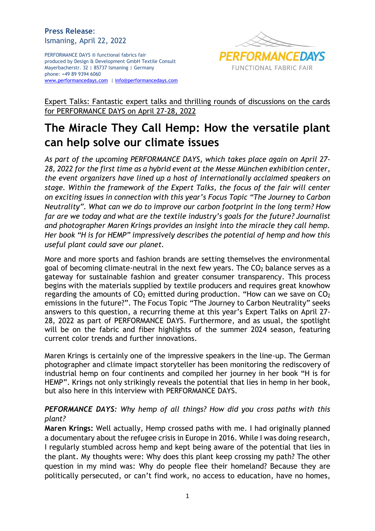PERFORMANCE DAYS ® functional fabrics fair produced by Design & Development GmbH Textile Consult Mayerbacherstr. 32 | 85737 Ismaning | Germany phone: +49 89 9394 6060 [www.performancedays.com](http://www.performancedays.com/) [| info@performancedays.com](mailto:info@performancedays.com)



Expert Talks: Fantastic expert talks and thrilling rounds of discussions on the cards for PERFORMANCE DAYS on April 27-28, 2022

# **The Miracle They Call Hemp: How the versatile plant can help solve our climate issues**

*As part of the upcoming PERFORMANCE DAYS, which takes place again on April 27- 28, 2022 for the first time as a hybrid event at the Messe München exhibition center, the event organizers have lined up a host of internationally acclaimed speakers on stage. Within the framework of the Expert Talks, the focus of the fair will center on exciting issues in connection with this year's Focus Topic "The Journey to Carbon Neutrality". What can we do to improve our carbon footprint in the long term? How far are we today and what are the textile industry's goals for the future? Journalist and photographer Maren Krings provides an insight into the miracle they call hemp. Her book "H is for HEMP" impressively describes the potential of hemp and how this useful plant could save our planet.*

More and more sports and fashion brands are setting themselves the environmental goal of becoming climate-neutral in the next few years. The  $CO<sub>2</sub>$  balance serves as a gateway for sustainable fashion and greater consumer transparency. This process begins with the materials supplied by textile producers and requires great knowhow regarding the amounts of  $CO<sub>2</sub>$  emitted during production. "How can we save on  $CO<sub>2</sub>$ emissions in the future?". The Focus Topic "The Journey to Carbon Neutrality" seeks answers to this question, a recurring theme at this year's Expert Talks on April 27- 28, 2022 as part of PERFORMANCE DAYS. Furthermore, and as usual, the spotlight will be on the fabric and fiber highlights of the summer 2024 season, featuring current color trends and further innovations.

Maren Krings is certainly one of the impressive speakers in the line-up. The German photographer and climate impact storyteller has been monitoring the rediscovery of industrial hemp on four continents and compiled her journey in her book "H is for HEMP". Krings not only strikingly reveals the potential that lies in hemp in her book, but also here in this interview with PERFORMANCE DAYS.

## *PEFORMANCE DAYS: Why hemp of all things? How did you cross paths with this plant?*

**Maren Krings:** Well actually, Hemp crossed paths with me. I had originally planned a documentary about the refugee crisis in Europe in 2016. While I was doing research, I regularly stumbled across hemp and kept being aware of the potential that lies in the plant. My thoughts were: Why does this plant keep crossing my path? The other question in my mind was: Why do people flee their homeland? Because they are politically persecuted, or can't find work, no access to education, have no homes,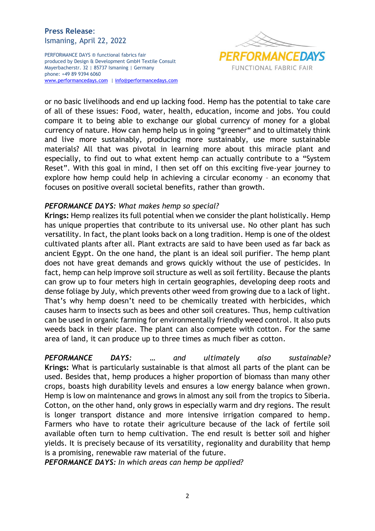PERFORMANCE DAYS ® functional fabrics fair produced by Design & Development GmbH Textile Consult Mayerbacherstr. 32 | 85737 Ismaning | Germany phone: +49 89 9394 6060 [www.performancedays.com](http://www.performancedays.com/) [| info@performancedays.com](mailto:info@performancedays.com)



or no basic livelihoods and end up lacking food. Hemp has the potential to take care of all of these issues: Food, water, health, education, income and jobs. You could compare it to being able to exchange our global currency of money for a global currency of nature. How can hemp help us in going "greener" and to ultimately think and live more sustainably, producing more sustainably, use more sustainable materials? All that was pivotal in learning more about this miracle plant and especially, to find out to what extent hemp can actually contribute to a "System Reset". With this goal in mind, I then set off on this exciting five-year journey to explore how hemp could help in achieving a circular economy – an economy that focuses on positive overall societal benefits, rather than growth.

#### *PEFORMANCE DAYS: What makes hemp so special?*

**Krings:** Hemp realizes its full potential when we consider the plant holistically. Hemp has unique properties that contribute to its universal use. No other plant has such versatility. In fact, the plant looks back on a long tradition. Hemp is one of the oldest cultivated plants after all. Plant extracts are said to have been used as far back as ancient Egypt. On the one hand, the plant is an ideal soil purifier. The hemp plant does not have great demands and grows quickly without the use of pesticides. In fact, hemp can help improve soil structure as well as soil fertility. Because the plants can grow up to four meters high in certain geographies, developing deep roots and dense foliage by July, which prevents other weed from growing due to a lack of light. That's why hemp doesn't need to be chemically treated with herbicides, which causes harm to insects such as bees and other soil creatures. Thus, hemp cultivation can be used in organic farming for environmentally friendly weed control. It also puts weeds back in their place. The plant can also compete with cotton. For the same area of land, it can produce up to three times as much fiber as cotton.

*PEFORMANCE DAYS: … and ultimately also sustainable?* **Krings:** What is particularly sustainable is that almost all parts of the plant can be used. Besides that, hemp produces a higher proportion of biomass than many other crops, boasts high durability levels and ensures a low energy balance when grown. Hemp is low on maintenance and grows in almost any soil from the tropics to Siberia. Cotton, on the other hand, only grows in especially warm and dry regions. The result is longer transport distance and more intensive irrigation compared to hemp. Farmers who have to rotate their agriculture because of the lack of fertile soil available often turn to hemp cultivation. The end result is better soil and higher yields. It is precisely because of its versatility, regionality and durability that hemp is a promising, renewable raw material of the future.

*PEFORMANCE DAYS: In which areas can hemp be applied?*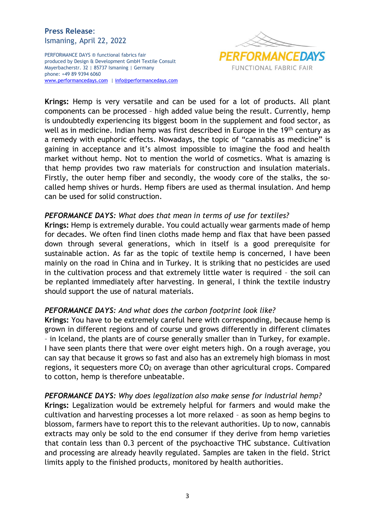PERFORMANCE DAYS ® functional fabrics fair produced by Design & Development GmbH Textile Consult Mayerbacherstr. 32 | 85737 Ismaning | Germany phone: +49 89 9394 6060 [www.performancedays.com](http://www.performancedays.com/) [| info@performancedays.com](mailto:info@performancedays.com)



**Krings:** Hemp is very versatile and can be used for a lot of products. All plant components can be processed – high added value being the result. Currently, hemp is undoubtedly experiencing its biggest boom in the supplement and food sector, as well as in medicine. Indian hemp was first described in Europe in the 19<sup>th</sup> century as a remedy with euphoric effects. Nowadays, the topic of "cannabis as medicine" is gaining in acceptance and it's almost impossible to imagine the food and health market without hemp. Not to mention the world of cosmetics. What is amazing is that hemp provides two raw materials for construction and insulation materials. Firstly, the outer hemp fiber and secondly, the woody core of the stalks, the socalled hemp shives or hurds. Hemp fibers are used as thermal insulation. And hemp can be used for solid construction.

#### *PEFORMANCE DAYS: What does that mean in terms of use for textiles?*

**Krings:** Hemp is extremely durable. You could actually wear garments made of hemp for decades. We often find linen cloths made hemp and flax that have been passed down through several generations, which in itself is a good prerequisite for sustainable action. As far as the topic of textile hemp is concerned, I have been mainly on the road in China and in Turkey. It is striking that no pesticides are used in the cultivation process and that extremely little water is required – the soil can be replanted immediately after harvesting. In general, I think the textile industry should support the use of natural materials.

#### *PEFORMANCE DAYS: And what does the carbon footprint look like?*

**Krings:** You have to be extremely careful here with corresponding, because hemp is grown in different regions and of course und grows differently in different climates – in Iceland, the plants are of course generally smaller than in Turkey, for example. I have seen plants there that were over eight meters high. On a rough average, you can say that because it grows so fast and also has an extremely high biomass in most regions, it sequesters more  $CO<sub>2</sub>$  on average than other agricultural crops. Compared to cotton, hemp is therefore unbeatable.

#### *PEFORMANCE DAYS: Why does legalization also make sense for industrial hemp?*

**Krings:** Legalization would be extremely helpful for farmers and would make the cultivation and harvesting processes a lot more relaxed – as soon as hemp begins to blossom, farmers have to report this to the relevant authorities. Up to now, cannabis extracts may only be sold to the end consumer if they derive from hemp varieties that contain less than 0.3 percent of the psychoactive THC substance. Cultivation and processing are already heavily regulated. Samples are taken in the field. Strict limits apply to the finished products, monitored by health authorities.